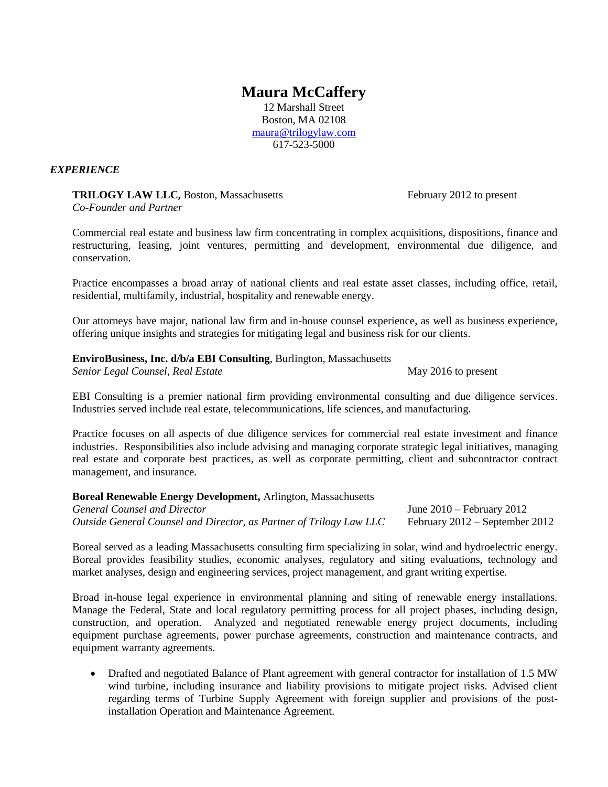# **Maura McCaffery**

12 Marshall Street Boston, MA 02108 [maura@trilogylaw.com](mailto:maura@trilogylaw.com) 617-523-5000

## *EXPERIENCE*

**TRILOGY LAW LLC, Boston, Massachusetts** February 2012 to present *Co-Founder and Partner*

Commercial real estate and business law firm concentrating in complex acquisitions, dispositions, finance and restructuring, leasing, joint ventures, permitting and development, environmental due diligence, and conservation.

Practice encompasses a broad array of national clients and real estate asset classes, including office, retail, residential, multifamily, industrial, hospitality and renewable energy.

Our attorneys have major, national law firm and in-house counsel experience, as well as business experience, offering unique insights and strategies for mitigating legal and business risk for our clients.

## **EnviroBusiness, Inc. d/b/a EBI Consulting**, Burlington, Massachusetts

*Senior Legal Counsel, Real Estate* May 2016 to present

EBI Consulting is a premier national firm providing environmental consulting and due diligence services. Industries served include real estate, telecommunications, life sciences, and manufacturing.

Practice focuses on all aspects of due diligence services for commercial real estate investment and finance industries. Responsibilities also include advising and managing corporate strategic legal initiatives, managing real estate and corporate best practices, as well as corporate permitting, client and subcontractor contract management, and insurance.

#### **Boreal Renewable Energy Development,** Arlington, Massachusetts

| General Counsel and Director                                        | June $2010$ – February $2012$    |
|---------------------------------------------------------------------|----------------------------------|
| Outside General Counsel and Director, as Partner of Trilogy Law LLC | February $2012$ – September 2012 |

Boreal served as a leading Massachusetts consulting firm specializing in solar, wind and hydroelectric energy. Boreal provides feasibility studies, economic analyses, regulatory and siting evaluations, technology and market analyses, design and engineering services, project management, and grant writing expertise.

Broad in-house legal experience in environmental planning and siting of renewable energy installations. Manage the Federal, State and local regulatory permitting process for all project phases, including design, construction, and operation. Analyzed and negotiated renewable energy project documents, including equipment purchase agreements, power purchase agreements, construction and maintenance contracts, and equipment warranty agreements.

• Drafted and negotiated Balance of Plant agreement with general contractor for installation of 1.5 MW wind turbine, including insurance and liability provisions to mitigate project risks. Advised client regarding terms of Turbine Supply Agreement with foreign supplier and provisions of the postinstallation Operation and Maintenance Agreement.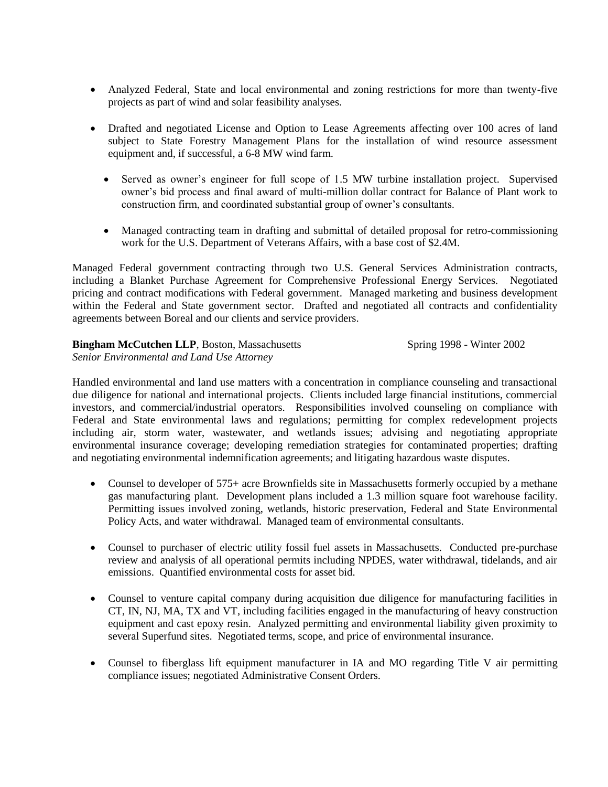- Analyzed Federal, State and local environmental and zoning restrictions for more than twenty-five projects as part of wind and solar feasibility analyses.
- Drafted and negotiated License and Option to Lease Agreements affecting over 100 acres of land subject to State Forestry Management Plans for the installation of wind resource assessment equipment and, if successful, a 6-8 MW wind farm.
	- Served as owner's engineer for full scope of 1.5 MW turbine installation project. Supervised owner's bid process and final award of multi-million dollar contract for Balance of Plant work to construction firm, and coordinated substantial group of owner's consultants.
	- Managed contracting team in drafting and submittal of detailed proposal for retro-commissioning work for the U.S. Department of Veterans Affairs, with a base cost of \$2.4M.

Managed Federal government contracting through two U.S. General Services Administration contracts, including a Blanket Purchase Agreement for Comprehensive Professional Energy Services. Negotiated pricing and contract modifications with Federal government. Managed marketing and business development within the Federal and State government sector. Drafted and negotiated all contracts and confidentiality agreements between Boreal and our clients and service providers.

#### **Bingham McCutchen LLP**, Boston, Massachusetts Spring 1998 - Winter 2002 *Senior Environmental and Land Use Attorney*

Handled environmental and land use matters with a concentration in compliance counseling and transactional due diligence for national and international projects. Clients included large financial institutions, commercial investors, and commercial/industrial operators. Responsibilities involved counseling on compliance with Federal and State environmental laws and regulations; permitting for complex redevelopment projects including air, storm water, wastewater, and wetlands issues; advising and negotiating appropriate environmental insurance coverage; developing remediation strategies for contaminated properties; drafting

and negotiating environmental indemnification agreements; and litigating hazardous waste disputes.

- Counsel to developer of 575+ acre Brownfields site in Massachusetts formerly occupied by a methane gas manufacturing plant. Development plans included a 1.3 million square foot warehouse facility. Permitting issues involved zoning, wetlands, historic preservation, Federal and State Environmental Policy Acts, and water withdrawal. Managed team of environmental consultants.
- Counsel to purchaser of electric utility fossil fuel assets in Massachusetts. Conducted pre-purchase review and analysis of all operational permits including NPDES, water withdrawal, tidelands, and air emissions. Quantified environmental costs for asset bid.
- Counsel to venture capital company during acquisition due diligence for manufacturing facilities in CT, IN, NJ, MA, TX and VT, including facilities engaged in the manufacturing of heavy construction equipment and cast epoxy resin. Analyzed permitting and environmental liability given proximity to several Superfund sites. Negotiated terms, scope, and price of environmental insurance.
- Counsel to fiberglass lift equipment manufacturer in IA and MO regarding Title V air permitting compliance issues; negotiated Administrative Consent Orders.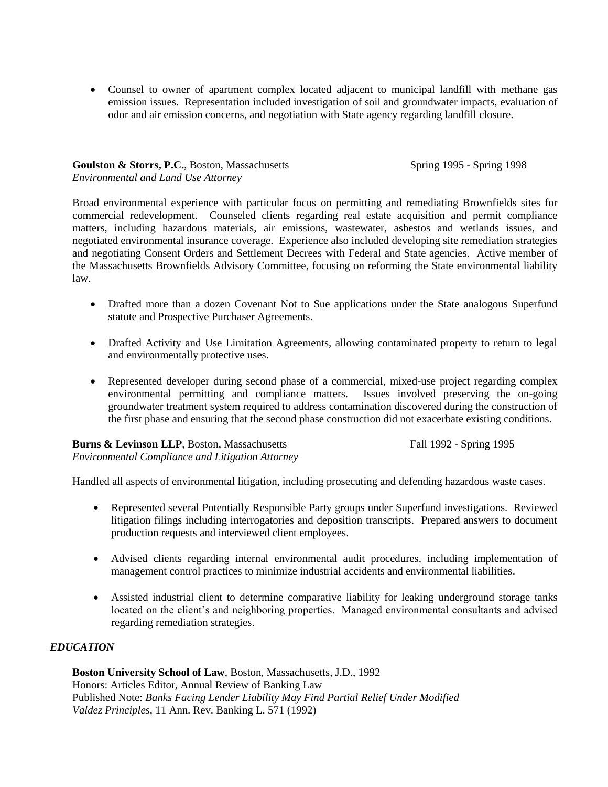• Counsel to owner of apartment complex located adjacent to municipal landfill with methane gas emission issues. Representation included investigation of soil and groundwater impacts, evaluation of odor and air emission concerns, and negotiation with State agency regarding landfill closure.

## **Goulston & Storrs, P.C.**, Boston, Massachusetts Spring 1995 - Spring 1998 *Environmental and Land Use Attorney*

Broad environmental experience with particular focus on permitting and remediating Brownfields sites for commercial redevelopment. Counseled clients regarding real estate acquisition and permit compliance matters, including hazardous materials, air emissions, wastewater, asbestos and wetlands issues, and negotiated environmental insurance coverage. Experience also included developing site remediation strategies and negotiating Consent Orders and Settlement Decrees with Federal and State agencies. Active member of the Massachusetts Brownfields Advisory Committee, focusing on reforming the State environmental liability law.

- Drafted more than a dozen Covenant Not to Sue applications under the State analogous Superfund statute and Prospective Purchaser Agreements.
- Drafted Activity and Use Limitation Agreements, allowing contaminated property to return to legal and environmentally protective uses.
- Represented developer during second phase of a commercial, mixed-use project regarding complex environmental permitting and compliance matters. Issues involved preserving the on-going groundwater treatment system required to address contamination discovered during the construction of the first phase and ensuring that the second phase construction did not exacerbate existing conditions.

**Burns & Levinson LLP**, Boston, Massachusetts Fall 1992 - Spring 1995 *Environmental Compliance and Litigation Attorney*

Handled all aspects of environmental litigation, including prosecuting and defending hazardous waste cases.

- Represented several Potentially Responsible Party groups under Superfund investigations. Reviewed litigation filings including interrogatories and deposition transcripts. Prepared answers to document production requests and interviewed client employees.
- Advised clients regarding internal environmental audit procedures, including implementation of management control practices to minimize industrial accidents and environmental liabilities.
- Assisted industrial client to determine comparative liability for leaking underground storage tanks located on the client's and neighboring properties. Managed environmental consultants and advised regarding remediation strategies.

# *EDUCATION*

**Boston University School of Law**, Boston, Massachusetts, J.D., 1992 Honors: Articles Editor, Annual Review of Banking Law Published Note: *Banks Facing Lender Liability May Find Partial Relief Under Modified Valdez Principles,* 11 Ann. Rev. Banking L. 571 (1992)